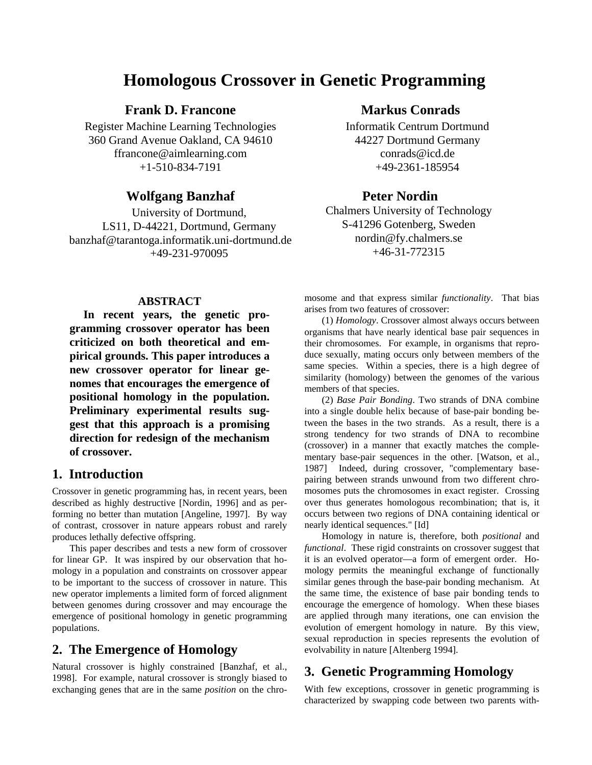# **Homologous Crossover in Genetic Programming**

**Frank D. Francone**

Register Machine Learning Technologies 360 Grand Avenue Oakland, CA 94610 ffrancone@aimlearning.com +1-510-834-7191

### **Wolfgang Banzhaf**

University of Dortmund, LS11, D-44221, Dortmund, Germany banzhaf@tarantoga.informatik.uni-dortmund.de +49-231-970095

## **Markus Conrads**

Informatik Centrum Dortmund 44227 Dortmund Germany conrads@icd.de +49-2361-185954

### **Peter Nordin**

Chalmers University of Technology S-41296 Gotenberg, Sweden nordin@fy.chalmers.se +46-31-772315

#### **ABSTRACT**

**In recent years, the genetic programming crossover operator has been criticized on both theoretical and empirical grounds. This paper introduces a new crossover operator for linear genomes that encourages the emergence of positional homology in the population. Preliminary experimental results suggest that this approach is a promising direction for redesign of the mechanism of crossover.**

## **1. Introduction**

Crossover in genetic programming has, in recent years, been described as highly destructive [Nordin, 1996] and as performing no better than mutation [Angeline, 1997]. By way of contrast, crossover in nature appears robust and rarely produces lethally defective offspring.

This paper describes and tests a new form of crossover for linear GP. It was inspired by our observation that homology in a population and constraints on crossover appear to be important to the success of crossover in nature. This new operator implements a limited form of forced alignment between genomes during crossover and may encourage the emergence of positional homology in genetic programming populations.

## **2. The Emergence of Homology**

Natural crossover is highly constrained [Banzhaf, et al., 1998]. For example, natural crossover is strongly biased to exchanging genes that are in the same *position* on the chromosome and that express similar *functionality*. That bias arises from two features of crossover:

(1) *Homology*. Crossover almost always occurs between organisms that have nearly identical base pair sequences in their chromosomes. For example, in organisms that reproduce sexually, mating occurs only between members of the same species. Within a species, there is a high degree of similarity (homology) between the genomes of the various members of that species.

(2) *Base Pair Bonding*. Two strands of DNA combine into a single double helix because of base-pair bonding between the bases in the two strands. As a result, there is a strong tendency for two strands of DNA to recombine (crossover) in a manner that exactly matches the complementary base-pair sequences in the other. [Watson, et al., 1987] Indeed, during crossover, "complementary basepairing between strands unwound from two different chromosomes puts the chromosomes in exact register. Crossing over thus generates homologous recombination; that is, it occurs between two regions of DNA containing identical or nearly identical sequences." [Id]

Homology in nature is, therefore, both *positional* and *functional*. These rigid constraints on crossover suggest that it is an evolved operator—a form of emergent order. Homology permits the meaningful exchange of functionally similar genes through the base-pair bonding mechanism. At the same time, the existence of base pair bonding tends to encourage the emergence of homology. When these biases are applied through many iterations, one can envision the evolution of emergent homology in nature. By this view, sexual reproduction in species represents the evolution of evolvability in nature [Altenberg 1994].

## **3. Genetic Programming Homology**

With few exceptions, crossover in genetic programming is characterized by swapping code between two parents with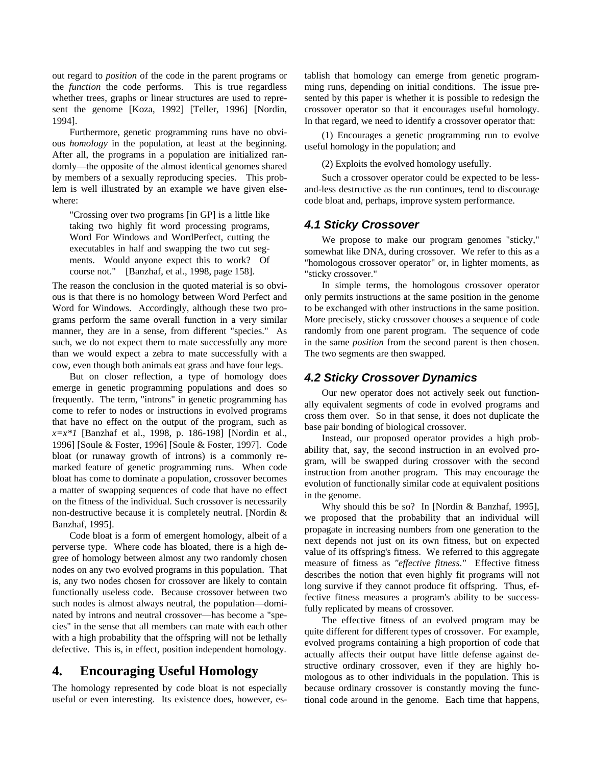out regard to *position* of the code in the parent programs or the *function* the code performs. This is true regardless whether trees, graphs or linear structures are used to represent the genome [Koza, 1992] [Teller, 1996] [Nordin, 1994].

Furthermore, genetic programming runs have no obvious *homology* in the population, at least at the beginning. After all, the programs in a population are initialized randomly—the opposite of the almost identical genomes shared by members of a sexually reproducing species. This problem is well illustrated by an example we have given elsewhere:

"Crossing over two programs [in GP] is a little like taking two highly fit word processing programs, Word For Windows and WordPerfect, cutting the executables in half and swapping the two cut segments. Would anyone expect this to work? Of course not." [Banzhaf, et al., 1998, page 158].

The reason the conclusion in the quoted material is so obvious is that there is no homology between Word Perfect and Word for Windows. Accordingly, although these two programs perform the same overall function in a very similar manner, they are in a sense, from different "species." As such, we do not expect them to mate successfully any more than we would expect a zebra to mate successfully with a cow, even though both animals eat grass and have four legs.

But on closer reflection, a type of homology does emerge in genetic programming populations and does so frequently. The term, "introns" in genetic programming has come to refer to nodes or instructions in evolved programs that have no effect on the output of the program, such as *x=x\*1* [Banzhaf et al., 1998, p. 186-198] [Nordin et al., 1996] [Soule & Foster, 1996] [Soule & Foster, 1997]. Code bloat (or runaway growth of introns) is a commonly remarked feature of genetic programming runs. When code bloat has come to dominate a population, crossover becomes a matter of swapping sequences of code that have no effect on the fitness of the individual. Such crossover is necessarily non-destructive because it is completely neutral. [Nordin & Banzhaf, 1995].

Code bloat is a form of emergent homology, albeit of a perverse type. Where code has bloated, there is a high degree of homology between almost any two randomly chosen nodes on any two evolved programs in this population. That is, any two nodes chosen for crossover are likely to contain functionally useless code. Because crossover between two such nodes is almost always neutral, the population—dominated by introns and neutral crossover—has become a "species" in the sense that all members can mate with each other with a high probability that the offspring will not be lethally defective. This is, in effect, position independent homology.

## **4. Encouraging Useful Homology**

The homology represented by code bloat is not especially useful or even interesting. Its existence does, however, establish that homology can emerge from genetic programming runs, depending on initial conditions. The issue presented by this paper is whether it is possible to redesign the crossover operator so that it encourages useful homology. In that regard, we need to identify a crossover operator that:

(1) Encourages a genetic programming run to evolve useful homology in the population; and

(2) Exploits the evolved homology usefully.

Such a crossover operator could be expected to be lessand-less destructive as the run continues, tend to discourage code bloat and, perhaps, improve system performance.

### *4.1 Sticky Crossover*

We propose to make our program genomes "sticky," somewhat like DNA, during crossover. We refer to this as a "homologous crossover operator" or, in lighter moments, as "sticky crossover."

In simple terms, the homologous crossover operator only permits instructions at the same position in the genome to be exchanged with other instructions in the same position. More precisely, sticky crossover chooses a sequence of code randomly from one parent program. The sequence of code in the same *position* from the second parent is then chosen. The two segments are then swapped.

### *4.2 Sticky Crossover Dynamics*

Our new operator does not actively seek out functionally equivalent segments of code in evolved programs and cross them over. So in that sense, it does not duplicate the base pair bonding of biological crossover.

Instead, our proposed operator provides a high probability that, say, the second instruction in an evolved program, will be swapped during crossover with the second instruction from another program. This may encourage the evolution of functionally similar code at equivalent positions in the genome.

Why should this be so? In [Nordin & Banzhaf, 1995], we proposed that the probability that an individual will propagate in increasing numbers from one generation to the next depends not just on its own fitness, but on expected value of its offspring's fitness. We referred to this aggregate measure of fitness as *"effective fitness*.*"* Effective fitness describes the notion that even highly fit programs will not long survive if they cannot produce fit offspring. Thus, effective fitness measures a program's ability to be successfully replicated by means of crossover.

The effective fitness of an evolved program may be quite different for different types of crossover. For example, evolved programs containing a high proportion of code that actually affects their output have little defense against destructive ordinary crossover, even if they are highly homologous as to other individuals in the population. This is because ordinary crossover is constantly moving the functional code around in the genome. Each time that happens,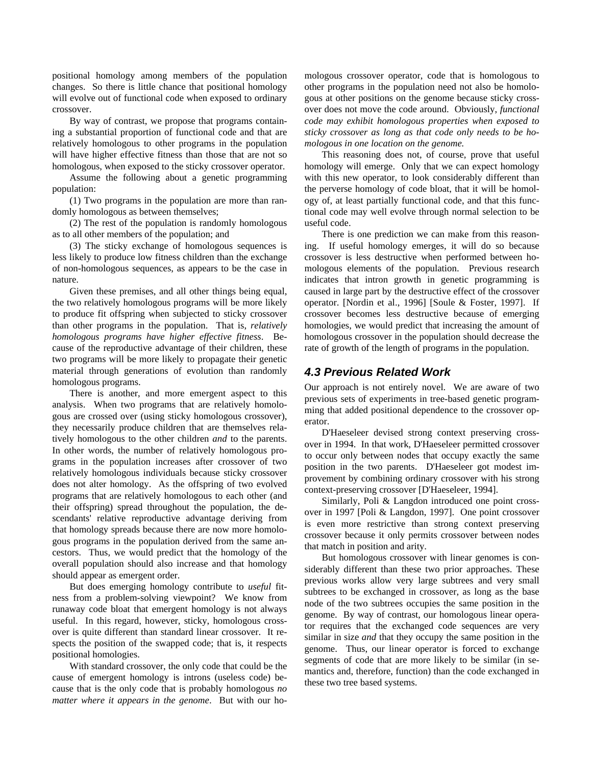positional homology among members of the population changes. So there is little chance that positional homology will evolve out of functional code when exposed to ordinary crossover.

By way of contrast, we propose that programs containing a substantial proportion of functional code and that are relatively homologous to other programs in the population will have higher effective fitness than those that are not so homologous, when exposed to the sticky crossover operator.

Assume the following about a genetic programming population:

(1) Two programs in the population are more than randomly homologous as between themselves;

(2) The rest of the population is randomly homologous as to all other members of the population; and

(3) The sticky exchange of homologous sequences is less likely to produce low fitness children than the exchange of non-homologous sequences, as appears to be the case in nature.

Given these premises, and all other things being equal, the two relatively homologous programs will be more likely to produce fit offspring when subjected to sticky crossover than other programs in the population. That is, *relatively homologous programs have higher effective fitness*. Because of the reproductive advantage of their children, these two programs will be more likely to propagate their genetic material through generations of evolution than randomly homologous programs.

There is another, and more emergent aspect to this analysis. When two programs that are relatively homologous are crossed over (using sticky homologous crossover), they necessarily produce children that are themselves relatively homologous to the other children *and* to the parents. In other words, the number of relatively homologous programs in the population increases after crossover of two relatively homologous individuals because sticky crossover does not alter homology. As the offspring of two evolved programs that are relatively homologous to each other (and their offspring) spread throughout the population, the descendants' relative reproductive advantage deriving from that homology spreads because there are now more homologous programs in the population derived from the same ancestors. Thus, we would predict that the homology of the overall population should also increase and that homology should appear as emergent order.

But does emerging homology contribute to *useful* fitness from a problem-solving viewpoint? We know from runaway code bloat that emergent homology is not always useful. In this regard, however, sticky, homologous crossover is quite different than standard linear crossover. It respects the position of the swapped code; that is, it respects positional homologies.

With standard crossover, the only code that could be the cause of emergent homology is introns (useless code) because that is the only code that is probably homologous *no matter where it appears in the genome*. But with our homologous crossover operator, code that is homologous to other programs in the population need not also be homologous at other positions on the genome because sticky crossover does not move the code around. Obviously, *functional code may exhibit homologous properties when exposed to sticky crossover as long as that code only needs to be homologous in one location on the genome.*

This reasoning does not, of course, prove that useful homology will emerge. Only that we can expect homology with this new operator, to look considerably different than the perverse homology of code bloat, that it will be homology of, at least partially functional code, and that this functional code may well evolve through normal selection to be useful code.

There is one prediction we can make from this reasoning. If useful homology emerges, it will do so because crossover is less destructive when performed between homologous elements of the population. Previous research indicates that intron growth in genetic programming is caused in large part by the destructive effect of the crossover operator. [Nordin et al., 1996] [Soule & Foster, 1997]. If crossover becomes less destructive because of emerging homologies, we would predict that increasing the amount of homologous crossover in the population should decrease the rate of growth of the length of programs in the population.

#### *4.3 Previous Related Work*

Our approach is not entirely novel. We are aware of two previous sets of experiments in tree-based genetic programming that added positional dependence to the crossover operator.

D'Haeseleer devised strong context preserving crossover in 1994. In that work, D'Haeseleer permitted crossover to occur only between nodes that occupy exactly the same position in the two parents. D'Haeseleer got modest improvement by combining ordinary crossover with his strong context-preserving crossover [D'Haeseleer, 1994].

Similarly, Poli & Langdon introduced one point crossover in 1997 [Poli & Langdon, 1997]. One point crossover is even more restrictive than strong context preserving crossover because it only permits crossover between nodes that match in position and arity.

But homologous crossover with linear genomes is considerably different than these two prior approaches. These previous works allow very large subtrees and very small subtrees to be exchanged in crossover, as long as the base node of the two subtrees occupies the same position in the genome. By way of contrast, our homologous linear operator requires that the exchanged code sequences are very similar in size *and* that they occupy the same position in the genome. Thus, our linear operator is forced to exchange segments of code that are more likely to be similar (in semantics and, therefore, function) than the code exchanged in these two tree based systems.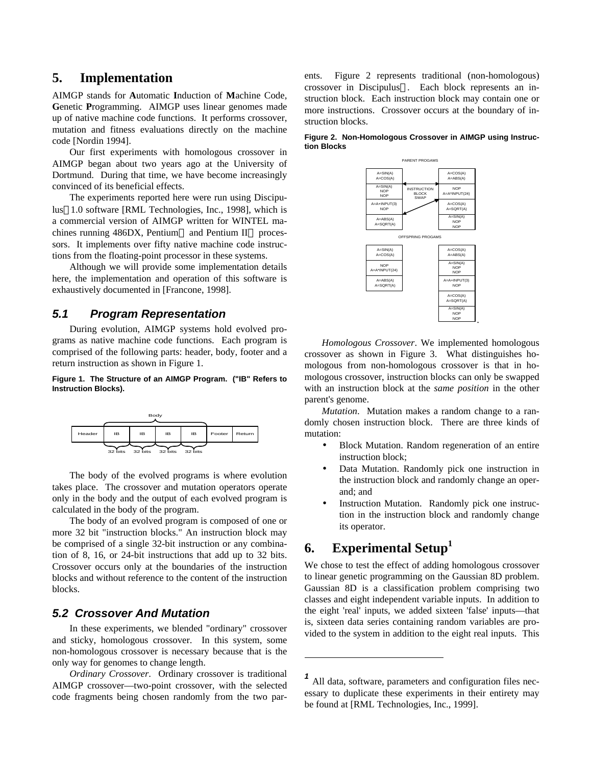### **5. Implementation**

AIMGP stands for **A**utomatic **I**nduction of **M**achine Code, **G**enetic **P**rogramming. AIMGP uses linear genomes made up of native machine code functions. It performs crossover, mutation and fitness evaluations directly on the machine code [Nordin 1994].

Our first experiments with homologous crossover in AIMGP began about two years ago at the University of Dortmund. During that time, we have become increasingly convinced of its beneficial effects.

The experiments reported here were run using Discipulus<sup> $TM1.0$ </sup> software [RML Technologies, Inc., 1998], which is a commercial version of AIMGP written for WINTEL machines running  $486DX$ , Pentium $\circledR$  and Pentium II $\circledR$  processors. It implements over fifty native machine code instructions from the floating-point processor in these systems.

Although we will provide some implementation details here, the implementation and operation of this software is exhaustively documented in [Francone, 1998].

#### *5.1 Program Representation*

During evolution, AIMGP systems hold evolved programs as native machine code functions. Each program is comprised of the following parts: header, body, footer and a return instruction as shown in Figure 1.

#### **Figure 1. The Structure of an AIMGP Program. ("IB" Refers to Instruction Blocks).**



The body of the evolved programs is where evolution takes place. The crossover and mutation operators operate only in the body and the output of each evolved program is calculated in the body of the program.

The body of an evolved program is composed of one or more 32 bit "instruction blocks." An instruction block may be comprised of a single 32-bit instruction or any combination of 8, 16, or 24-bit instructions that add up to 32 bits. Crossover occurs only at the boundaries of the instruction blocks and without reference to the content of the instruction blocks.

#### *5.2 Crossover And Mutation*

In these experiments, we blended "ordinary" crossover and sticky, homologous crossover. In this system, some non-homologous crossover is necessary because that is the only way for genomes to change length.

*Ordinary Crossover*. Ordinary crossover is traditional AIMGP crossover—two-point crossover, with the selected code fragments being chosen randomly from the two parents. Figure 2 represents traditional (non-homologous) crossover in Discipulus<sup>™</sup>. Each block represents an instruction block. Each instruction block may contain one or more instructions. Crossover occurs at the boundary of instruction blocks.

**Figure 2. Non-Homologous Crossover in AIMGP using Instruction Blocks**



*Homologous Crossover*. We implemented homologous crossover as shown in Figure 3. What distinguishes homologous from non-homologous crossover is that in homologous crossover, instruction blocks can only be swapped with an instruction block at the *same position* in the other parent's genome.

*Mutation*. Mutation makes a random change to a randomly chosen instruction block. There are three kinds of mutation:

- Block Mutation. Random regeneration of an entire instruction block;
- Data Mutation. Randomly pick one instruction in the instruction block and randomly change an operand; and
- Instruction Mutation. Randomly pick one instruction in the instruction block and randomly change its operator.

# **6. Experimental Setup<sup>1</sup>**

-

We chose to test the effect of adding homologous crossover to linear genetic programming on the Gaussian 8D problem. Gaussian 8D is a classification problem comprising two classes and eight independent variable inputs. In addition to the eight 'real' inputs, we added sixteen 'false' inputs—that is, sixteen data series containing random variables are provided to the system in addition to the eight real inputs. This

*<sup>1</sup>* All data, software, parameters and configuration files necessary to duplicate these experiments in their entirety may be found at [RML Technologies, Inc., 1999].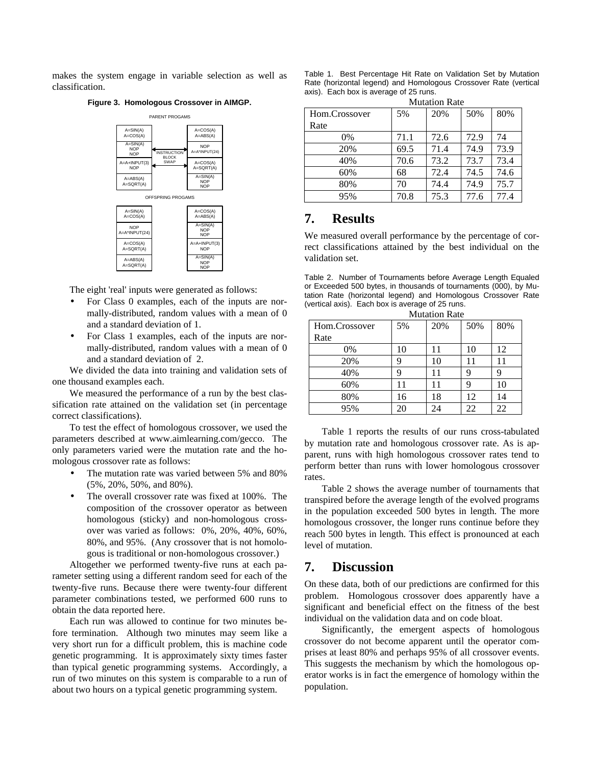makes the system engage in variable selection as well as classification.

**Figure 3. Homologous Crossover in AIMGP.**

|                                          | PARENT PROGAMS                     |                                          |  |  |  |  |
|------------------------------------------|------------------------------------|------------------------------------------|--|--|--|--|
| $A = SIM(A)$<br>A=COS(A)                 |                                    | $A = COS(A)$<br>$A = ABS(A)$             |  |  |  |  |
| $A = SIN(A)$<br><b>NOP</b><br><b>NOP</b> | <b>INSTRUCTION</b><br><b>BLOCK</b> | <b>NOP</b><br>A=A*INPUT(24)              |  |  |  |  |
| A=A+INPUT(3)<br><b>NOP</b>               | SWAP                               | $A = COS(A)$<br>A=SQRT(A)                |  |  |  |  |
| $A = ABS(A)$<br>A=SQRT(A)                |                                    | $A = SIN(A)$<br><b>NOP</b><br><b>NOP</b> |  |  |  |  |
| OFFSPRING PROGAMS                        |                                    |                                          |  |  |  |  |
| $A = SIN(A)$<br>$A = COS(A)$             |                                    | $A = COS(A)$<br>A=ABS(A)                 |  |  |  |  |
| <b>NOP</b><br>A=A*INPUT(24)              |                                    | $A = SIN(A)$<br><b>NOP</b><br><b>NOP</b> |  |  |  |  |
| $A=COS(A)$                               |                                    | $A = A + INPI IT(3)$                     |  |  |  |  |

The eight 'real' inputs were generated as follows:

A=ABS(A) A=SQRT(A)

 $A = \text{SORT}(A)$ 

• For Class 0 examples, each of the inputs are normally-distributed, random values with a mean of 0 and a standard deviation of 1.

NOP

 $SIN(4)$ NOP NOP

• For Class 1 examples, each of the inputs are normally-distributed, random values with a mean of 0 and a standard deviation of 2.

We divided the data into training and validation sets of one thousand examples each.

We measured the performance of a run by the best classification rate attained on the validation set (in percentage correct classifications).

To test the effect of homologous crossover, we used the parameters described at www.aimlearning.com/gecco. The only parameters varied were the mutation rate and the homologous crossover rate as follows:

- The mutation rate was varied between 5% and 80% (5%, 20%, 50%, and 80%).
- The overall crossover rate was fixed at 100%. The composition of the crossover operator as between homologous (sticky) and non-homologous crossover was varied as follows: 0%, 20%, 40%, 60%, 80%, and 95%. (Any crossover that is not homologous is traditional or non-homologous crossover.)

Altogether we performed twenty-five runs at each parameter setting using a different random seed for each of the twenty-five runs. Because there were twenty-four different parameter combinations tested, we performed 600 runs to obtain the data reported here.

Each run was allowed to continue for two minutes before termination. Although two minutes may seem like a very short run for a difficult problem, this is machine code genetic programming. It is approximately sixty times faster than typical genetic programming systems. Accordingly, a run of two minutes on this system is comparable to a run of about two hours on a typical genetic programming system.

| Table 1. Best Percentage Hit Rate on Validation Set by Mutation  |
|------------------------------------------------------------------|
| Rate (horizontal legend) and Homologous Crossover Rate (vertical |
| axis). Each box is average of 25 runs.                           |
| $\mathbf{M}$ and $\mathbf{D}$ and $\mathbf{M}$                   |

| Mutation Rate |      |      |      |      |  |  |
|---------------|------|------|------|------|--|--|
| Hom.Crossover | 5%   | 20%  | 50%  | 80%  |  |  |
| Rate          |      |      |      |      |  |  |
| 0%            | 71.1 | 72.6 | 72.9 | 74   |  |  |
| 20%           | 69.5 | 71.4 | 74.9 | 73.9 |  |  |
| 40%           | 70.6 | 73.2 | 73.7 | 73.4 |  |  |
| 60%           | 68   | 72.4 | 74.5 | 74.6 |  |  |
| 80%           | 70   | 74.4 | 74.9 | 75.7 |  |  |
| 95%           | 70.8 | 75.3 | 77.6 | 77.4 |  |  |

### **7. Results**

We measured overall performance by the percentage of correct classifications attained by the best individual on the validation set.

| Table 2. Number of Tournaments before Average Length Equaled     |
|------------------------------------------------------------------|
| or Exceeded 500 bytes, in thousands of tournaments (000), by Mu- |
| tation Rate (horizontal legend) and Homologous Crossover Rate    |
| (vertical axis). Each box is average of 25 runs.                 |
|                                                                  |

Mutation Rate

| Hom.Crossover | 5% | 20% | 50% | 80% |  |
|---------------|----|-----|-----|-----|--|
| Rate          |    |     |     |     |  |
| 0%            | 10 | 11  | 10  | 12  |  |
| 20%           | 9  | 10  | 11  |     |  |
| 40%           |    | 11  | 9   |     |  |
| 60%           | 11 | 11  | q   | 10  |  |
| 80%           | 16 | 18  | 12  | 14  |  |
| 95%           | 20 | 24  | 22  | 22  |  |

Table 1 reports the results of our runs cross-tabulated by mutation rate and homologous crossover rate. As is apparent, runs with high homologous crossover rates tend to perform better than runs with lower homologous crossover rates.

Table 2 shows the average number of tournaments that transpired before the average length of the evolved programs in the population exceeded 500 bytes in length. The more homologous crossover, the longer runs continue before they reach 500 bytes in length. This effect is pronounced at each level of mutation.

### **7. Discussion**

On these data, both of our predictions are confirmed for this problem. Homologous crossover does apparently have a significant and beneficial effect on the fitness of the best individual on the validation data and on code bloat.

Significantly, the emergent aspects of homologous crossover do not become apparent until the operator comprises at least 80% and perhaps 95% of all crossover events. This suggests the mechanism by which the homologous operator works is in fact the emergence of homology within the population.